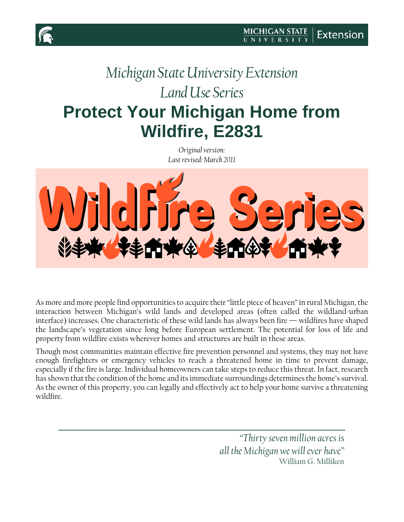# *Michigan State University Extension Land Use Series* **Protect Your Michigan Home from Wildfire, E2831**

*Original version: Last revised: March 2011*



As more and more people find opportunities to acquire their "little piece of heaven" in rural Michigan, the interaction between Michigan's wild lands and developed areas (often called the wildland-urban interface) increases. One characteristic of these wild lands has always been fire — wildfires have shaped the landscape's vegetation since long before European settlement. The potential for loss of life and property from wildfire exists wherever homes and structures are built in these areas.

Though most communities maintain effective fire prevention personnel and systems, they may not have enough firefighters or emergency vehicles to reach a threatened home in time to prevent damage, especially if the fire is large. Individual homeowners can take steps to reduce this threat. In fact, research has shown that the condition of the home and its immediate surroundings determines the home's survival. As the owner of this property, you can legally and effectively act to help your home survive a threatening wildfire.

> *"Thirty seven million acres is all the Michigan we will ever have"* William G. Milliken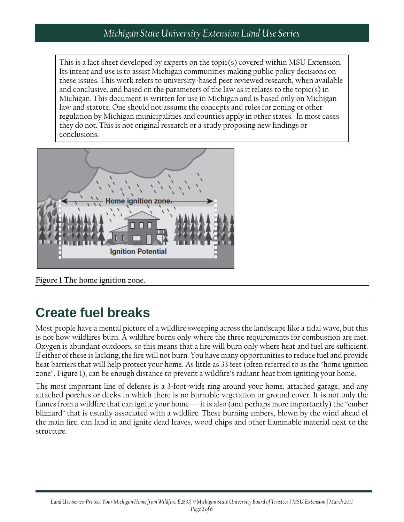#### *Michigan State University Extension Land Use Series*

This is a fact sheet developed by experts on the topic(s) covered within MSU Extension. Its intent and use is to assist Michigan communities making public policy decisions on these issues. This work refers to university-based peer reviewed research, when available and conclusive, and based on the parameters of the law as it relates to the topic(s) in Michigan. This document is written for use in Michigan and is based only on Michigan law and statute. One should not assume the concepts and rules for zoning or other regulation by Michigan municipalities and counties apply in other states. In most cases they do not. This is not original research or a study proposing new findings or conclusions.



**Figure 1 The home ignition zone.**

#### **Create fuel breaks**

Most people have a mental picture of a wildfire sweeping across the landscape like a tidal wave, but this is not how wildfires burn. A wildfire burns only where the three requirements for combustion are met. Oxygen is abundant outdoors, so this means that a fire will burn only where heat and fuel are sufficient. If either of these is lacking, the fire will not burn. You have many opportunitiesto reduce fuel and provide heat barriers that will help protect your home. As little as 33 feet (often referred to as the "home ignition zone", Figure 1), can be enough distance to prevent a wildfire's radiant heat from igniting your home.

The most important line of defense is a 3-foot-wide ring around your home, attached garage, and any attached porches or decks in which there is no burnable vegetation or ground cover. It is not only the flames from a wildfire that can ignite your home — it is also (and perhaps more importantly) the "ember blizzard" that is usually associated with a wildfire. These burning embers, blown by the wind ahead of the main fire, can land in and ignite dead leaves, wood chips and other flammable material next to the structure.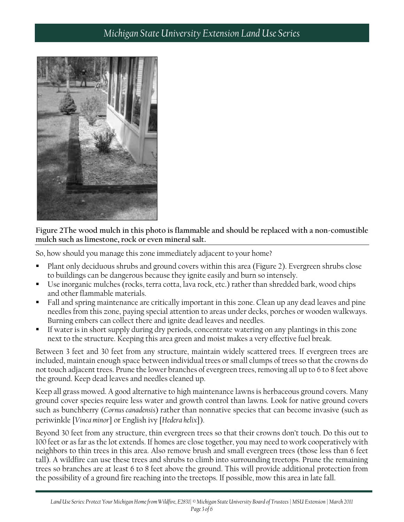#### *Michigan State University Extension Land Use Series*



**Figure 2The wood mulch in this photo is flammable and should be replaced with a non-comustible mulch such as limestone, rock or even mineral salt.**

So, how should you manage this zone immediately adjacent to your home?

- Plant only deciduous shrubs and ground covers within this area (Figure 2). Evergreen shrubs close to buildings can be dangerous because they ignite easily and burn so intensely.
- Use inorganic mulches (rocks, terra cotta, lava rock, etc.) rather than shredded bark, wood chips and other flammable materials.
- Fall and spring maintenance are critically important in this zone. Clean up any dead leaves and pine needles from this zone, paying special attention to areas under decks, porches or wooden walkways. Burning embers can collect there and ignite dead leaves and needles.
- If water is in short supply during dry periods, concentrate watering on any plantings in this zone next to the structure. Keeping this area green and moist makes a very effective fuel break.

Between 3 feet and 30 feet from any structure, maintain widely scattered trees. If evergreen trees are included, maintain enough space between individual trees or small clumps of trees so that the crowns do not touch adjacent trees. Prune the lower branches of evergreen trees, removing all up to 6 to 8 feet above the ground. Keep dead leaves and needles cleaned up.

Keep all grass mowed. A good alternative to high maintenance lawns is herbaceous ground covers. Many ground cover species require less water and growth control than lawns. Look for native ground covers such as bunchberry (*Cornus canadensis*) rather than nonnative species that can become invasive (such as periwinkle [*Vinca minor*] or English ivy [*Hedera helix*]).

Beyond 30 feet from any structure, thin evergreen trees so that their crowns don't touch. Do this out to 100 feet or as far as the lot extends. If homes are close together, you may need to work cooperatively with neighbors to thin trees in this area. Also remove brush and small evergreen trees (those less than 6 feet tall). A wildfire can use these trees and shrubs to climb into surrounding treetops. Prune the remaining trees so branches are at least 6 to 8 feet above the ground. This will provide additional protection from the possibility of a ground fire reaching into the treetops. If possible, mow this area in late fall.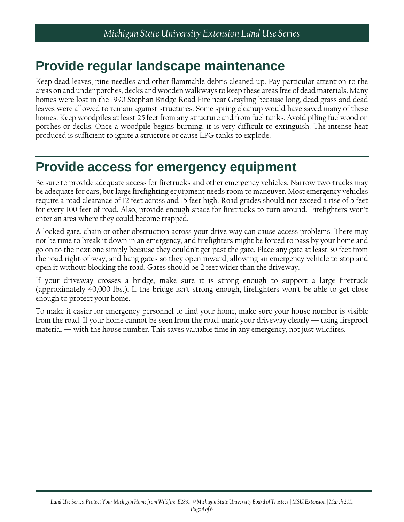## **Provide regular landscape maintenance**

Keep dead leaves, pine needles and other flammable debris cleaned up. Pay particular attention to the areas on and under porches, decks and wooden walkways to keep these areas free of dead materials. Many homes were lost in the 1990 Stephan Bridge Road Fire near Grayling because long, dead grass and dead leaves were allowed to remain against structures. Some spring cleanup would have saved many of these homes. Keep woodpiles at least 25 feet from any structure and from fuel tanks. Avoid piling fuelwood on porches or decks. Once a woodpile begins burning, it is very difficult to extinguish. The intense heat produced is sufficient to ignite a structure or cause LPG tanks to explode.

#### **Provide access for emergency equipment**

Be sure to provide adequate access for firetrucks and other emergency vehicles. Narrow two-tracks may be adequate for cars, but large firefighting equipment needs room to maneuver. Most emergency vehicles require a road clearance of 12 feet across and 15 feet high. Road grades should not exceed a rise of 5 feet for every 100 feet of road. Also, provide enough space for firetrucks to turn around. Firefighters won't enter an area where they could become trapped.

A locked gate, chain or other obstruction across your drive way can cause access problems. There may not be time to break it down in an emergency, and firefighters might be forced to pass by your home and go on to the next one simply because they couldn't get past the gate. Place any gate at least 30 feet from the road right-of-way, and hang gates so they open inward, allowing an emergency vehicle to stop and open it without blocking the road. Gates should be 2 feet wider than the driveway.

If your driveway crosses a bridge, make sure it is strong enough to support a large firetruck (approximately 40,000 lbs.). If the bridge isn't strong enough, firefighters won't be able to get close enough to protect your home.

To make it easier for emergency personnel to find your home, make sure your house number is visible from the road. If your home cannot be seen from the road, mark your driveway clearly — using fireproof material — with the house number. This saves valuable time in any emergency, not just wildfires.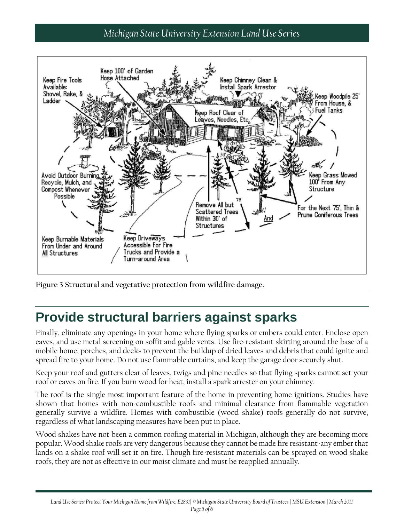#### *Michigan State University Extension Land Use Series*



**Figure 3 Structural and vegetative protection from wildfire damage.**

## **Provide structural barriers against sparks**

Finally, eliminate any openings in your home where flying sparks or embers could enter. Enclose open eaves, and use metal screening on soffit and gable vents. Use fire-resistant skirting around the base of a mobile home, porches, and decks to prevent the buildup of dried leaves and debris that could ignite and spread fire to your home. Do not use flammable curtains, and keep the garage door securely shut.

Keep your roof and gutters clear of leaves, twigs and pine needles so that flying sparks cannot set your roof or eaves on fire. If you burn wood for heat, install a spark arrester on your chimney.

The roof is the single most important feature of the home in preventing home ignitions. Studies have shown that homes with non-combustible roofs and minimal clearance from flammable vegetation generally survive a wildfire. Homes with combustible (wood shake) roofs generally do not survive, regardless of what landscaping measures have been put in place.

Wood shakes have not been a common roofing material in Michigan, although they are becoming more popular.Wood shake roofs are very dangerous because they cannot be made fire resistant-any ember that lands on a shake roof will set it on fire. Though fire-resistant materials can be sprayed on wood shake roofs, they are not as effective in our moist climate and must be reapplied annually.